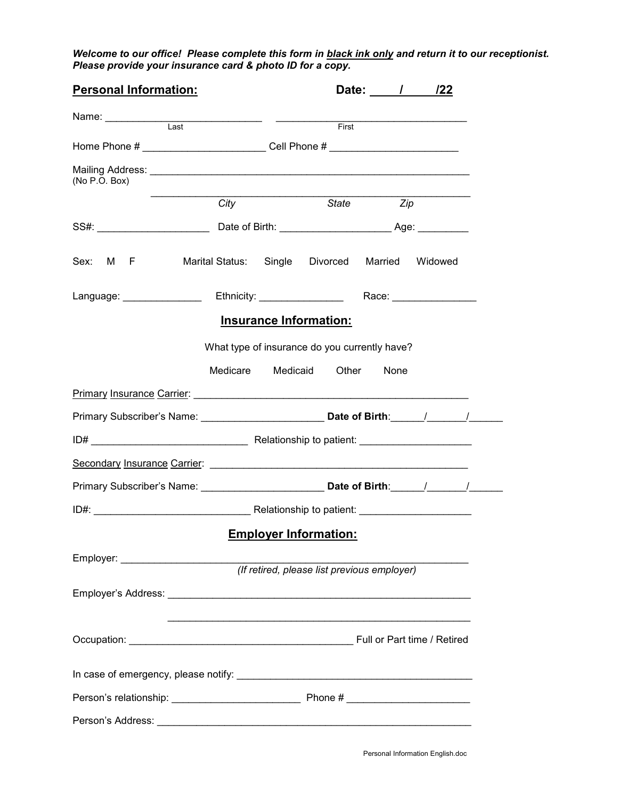*Welcome to our office! Please complete this form in black ink only and return it to our receptionist. Please provide your insurance card & photo ID for a copy.* 

| <b>Personal Information:</b>                                                                                                                                                                                                   |                                                                                             |                               | Date: / / /22 |                                     |
|--------------------------------------------------------------------------------------------------------------------------------------------------------------------------------------------------------------------------------|---------------------------------------------------------------------------------------------|-------------------------------|---------------|-------------------------------------|
|                                                                                                                                                                                                                                |                                                                                             |                               |               | First <b>Executive State Street</b> |
|                                                                                                                                                                                                                                | Home Phone # __________________________Cell Phone # ____________________________            |                               |               |                                     |
|                                                                                                                                                                                                                                |                                                                                             |                               |               |                                     |
| (No P.O. Box)                                                                                                                                                                                                                  |                                                                                             |                               |               |                                     |
|                                                                                                                                                                                                                                | City                                                                                        | State                         |               | Zip                                 |
|                                                                                                                                                                                                                                |                                                                                             |                               |               |                                     |
|                                                                                                                                                                                                                                | Sex: M F Marital Status: Single Divorced Married Widowed                                    |                               |               |                                     |
| Language: National Contract of Contract of Contract of Contract of Contract of Contract of Contract of Contract of Contract of Contract of Contract of Contract of Contract of Contract of Contract of Contract of Contract of |                                                                                             | Ethnicity: _________________  |               | Race: ________________              |
|                                                                                                                                                                                                                                |                                                                                             | <b>Insurance Information:</b> |               |                                     |
|                                                                                                                                                                                                                                | What type of insurance do you currently have?                                               |                               |               |                                     |
|                                                                                                                                                                                                                                | Medicare                                                                                    | Medicaid<br>Other             | None          |                                     |
|                                                                                                                                                                                                                                |                                                                                             |                               |               |                                     |
|                                                                                                                                                                                                                                |                                                                                             |                               |               |                                     |
|                                                                                                                                                                                                                                | Primary Subscriber's Name: _______________________________Date of Birth: ______/__________/ |                               |               |                                     |
|                                                                                                                                                                                                                                |                                                                                             |                               |               |                                     |
|                                                                                                                                                                                                                                |                                                                                             |                               |               |                                     |
|                                                                                                                                                                                                                                |                                                                                             |                               |               |                                     |
|                                                                                                                                                                                                                                |                                                                                             |                               |               |                                     |
|                                                                                                                                                                                                                                |                                                                                             | <b>Employer Information:</b>  |               |                                     |
|                                                                                                                                                                                                                                |                                                                                             |                               |               |                                     |
|                                                                                                                                                                                                                                |                                                                                             |                               |               |                                     |
|                                                                                                                                                                                                                                |                                                                                             |                               |               |                                     |
|                                                                                                                                                                                                                                |                                                                                             |                               |               |                                     |
|                                                                                                                                                                                                                                |                                                                                             |                               |               |                                     |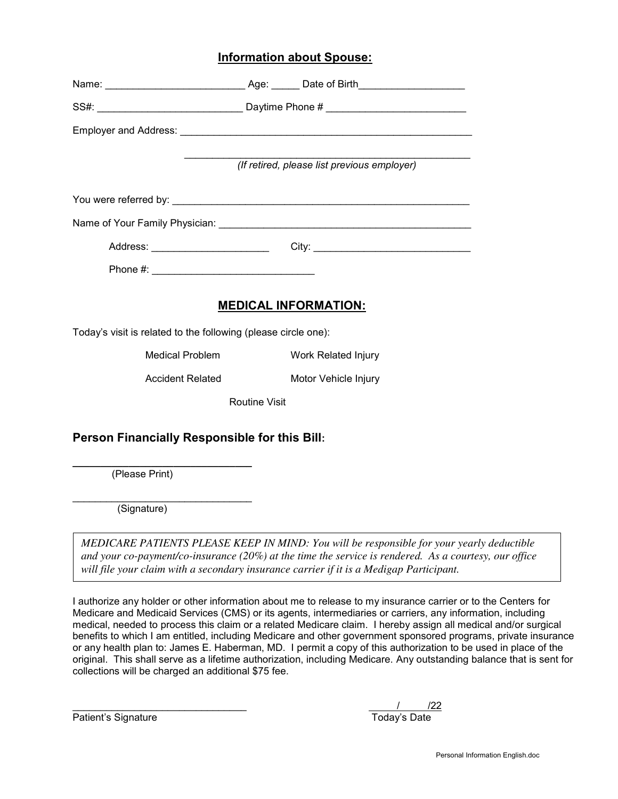### **Information about Spouse:**

|                                                                |                      | Name: _____________________________Age: ______ Date of Birth____________________ |
|----------------------------------------------------------------|----------------------|----------------------------------------------------------------------------------|
|                                                                |                      |                                                                                  |
|                                                                |                      |                                                                                  |
|                                                                |                      | (If retired, please list previous employer)                                      |
|                                                                |                      |                                                                                  |
|                                                                |                      |                                                                                  |
|                                                                |                      |                                                                                  |
|                                                                |                      |                                                                                  |
| Today's visit is related to the following (please circle one): |                      | <b>MEDICAL INFORMATION:</b>                                                      |
| <b>Medical Problem</b>                                         |                      | <b>Work Related Injury</b>                                                       |
| <b>Accident Related</b>                                        |                      | Motor Vehicle Injury                                                             |
|                                                                | <b>Routine Visit</b> |                                                                                  |
|                                                                |                      |                                                                                  |
| Person Financially Responsible for this Bill:                  |                      |                                                                                  |
| (Please Print)                                                 |                      |                                                                                  |

*MEDICARE PATIENTS PLEASE KEEP IN MIND: You will be responsible for your yearly deductible and your co-payment/co-insurance (20%) at the time the service is rendered. As a courtesy, our office will file your claim with a secondary insurance carrier if it is a Medigap Participant.* 

I authorize any holder or other information about me to release to my insurance carrier or to the Centers for Medicare and Medicaid Services (CMS) or its agents, intermediaries or carriers, any information, including medical, needed to process this claim or a related Medicare claim. I hereby assign all medical and/or surgical benefits to which I am entitled, including Medicare and other government sponsored programs, private insurance or any health plan to: James E. Haberman, MD. I permit a copy of this authorization to be used in place of the original. This shall serve as a lifetime authorization, including Medicare. Any outstanding balance that is sent for collections will be charged an additional \$75 fee.

Patient's Signature

I

 $\frac{1}{22}$  Today's Date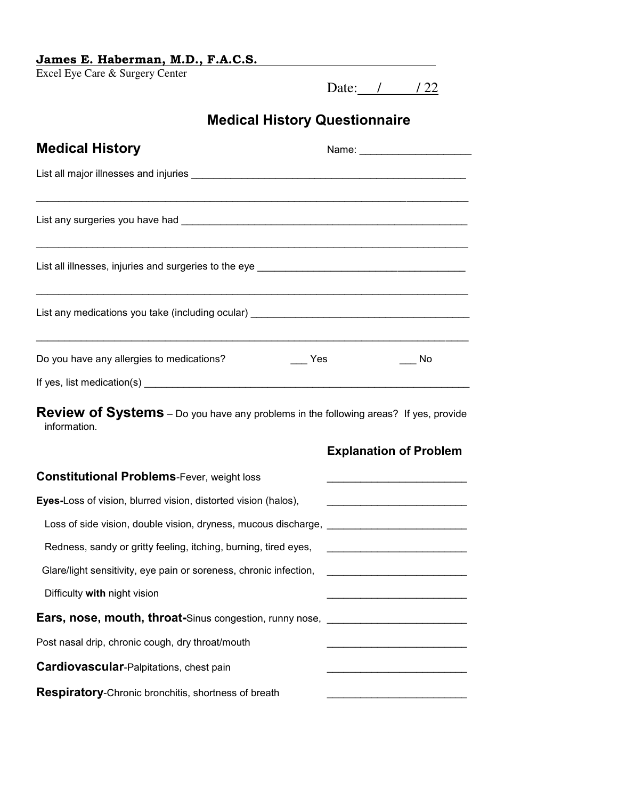| James E. Haberman, M.D., F.A.C.S. |  |
|-----------------------------------|--|
|-----------------------------------|--|

Excel Eye Care & Surgery Center

Date: / / / 22

# **Medical History Questionnaire**

| <b>Medical History</b>                                                                                      | Name: _________________________                   |
|-------------------------------------------------------------------------------------------------------------|---------------------------------------------------|
|                                                                                                             |                                                   |
|                                                                                                             |                                                   |
|                                                                                                             |                                                   |
|                                                                                                             |                                                   |
| Do you have any allergies to medications?<br>Yes                                                            | No                                                |
|                                                                                                             |                                                   |
| <b>Review of Systems</b> – Do you have any problems in the following areas? If yes, provide<br>information. |                                                   |
|                                                                                                             | <b>Explanation of Problem</b>                     |
| <b>Constitutional Problems-Fever, weight loss</b>                                                           |                                                   |
| Eyes-Loss of vision, blurred vision, distorted vision (halos),                                              |                                                   |
| Loss of side vision, double vision, dryness, mucous discharge, __________________                           |                                                   |
| Redness, sandy or gritty feeling, itching, burning, tired eyes,                                             |                                                   |
| Glare/light sensitivity, eye pain or soreness, chronic infection,                                           | <u> 1990 - Johann Barbara, martxa alemaniar a</u> |
| Difficulty with night vision                                                                                |                                                   |
| Ears, nose, mouth, throat-Sinus congestion, runny nose, ________________________                            |                                                   |
| Post nasal drip, chronic cough, dry throat/mouth                                                            |                                                   |
| Cardiovascular-Palpitations, chest pain                                                                     |                                                   |
| Respiratory-Chronic bronchitis, shortness of breath                                                         |                                                   |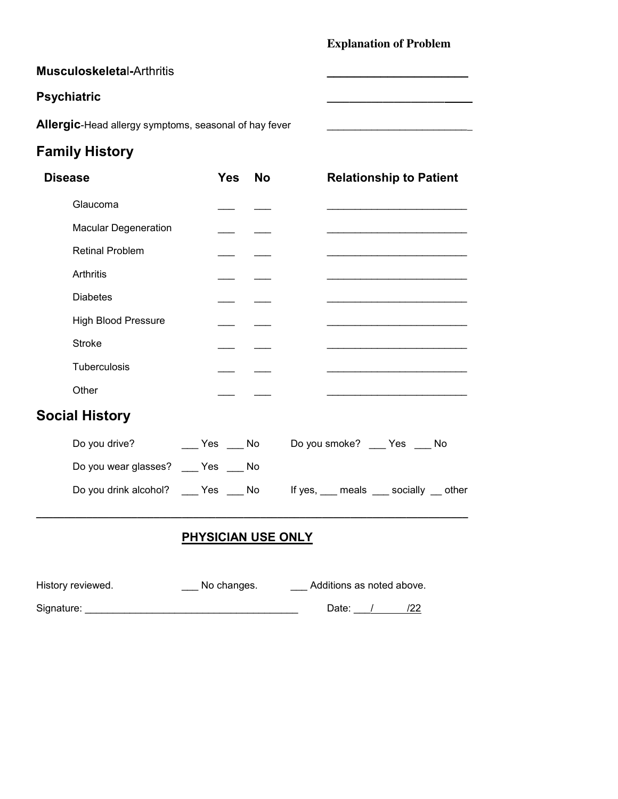### **Explanation of Problem**

**Psychiatric \_\_\_\_\_\_\_\_\_\_\_\_\_\_\_\_\_\_\_\_\_** 

### **Musculoskeleta**l**-**Arthritis **\_\_\_\_\_\_\_\_\_\_\_\_\_\_\_\_\_\_\_\_\_**

## **Psychiatric**

**Allergic**-Head allergy symptoms, seasonal of hay fever **with all allergic**-Head allergy symptoms, seasonal of hay fever

# **Family History**

| <b>Disease</b>                        | <b>Yes</b><br><b>No</b>                       | <b>Relationship to Patient</b>                                             |
|---------------------------------------|-----------------------------------------------|----------------------------------------------------------------------------|
| Glaucoma                              |                                               |                                                                            |
| <b>Macular Degeneration</b>           |                                               |                                                                            |
| <b>Retinal Problem</b>                |                                               |                                                                            |
| Arthritis                             |                                               |                                                                            |
| <b>Diabetes</b>                       |                                               |                                                                            |
| <b>High Blood Pressure</b>            |                                               | <u> 1989 - Johann John Stoff, mars and de Brasilian (b. 1989)</u>          |
| <b>Stroke</b>                         |                                               |                                                                            |
| Tuberculosis                          |                                               | the control of the control of the control of the control of the control of |
| Other                                 |                                               |                                                                            |
| <b>Social History</b>                 |                                               |                                                                            |
| Do you drive?                         | <b>Solution Service Stress Service Stress</b> | Do you smoke? ____ Yes ____ No                                             |
| Do you wear glasses? ____ Yes ____ No |                                               |                                                                            |
|                                       | Do you drink alcohol? ____ Yes ____ No        | If yes, <u>meals</u> socially _ other                                      |

# **PHYSICIAN USE ONLY**

| History reviewed. | No changes. | Additions as noted above. |
|-------------------|-------------|---------------------------|
| Signature:        |             | Date:                     |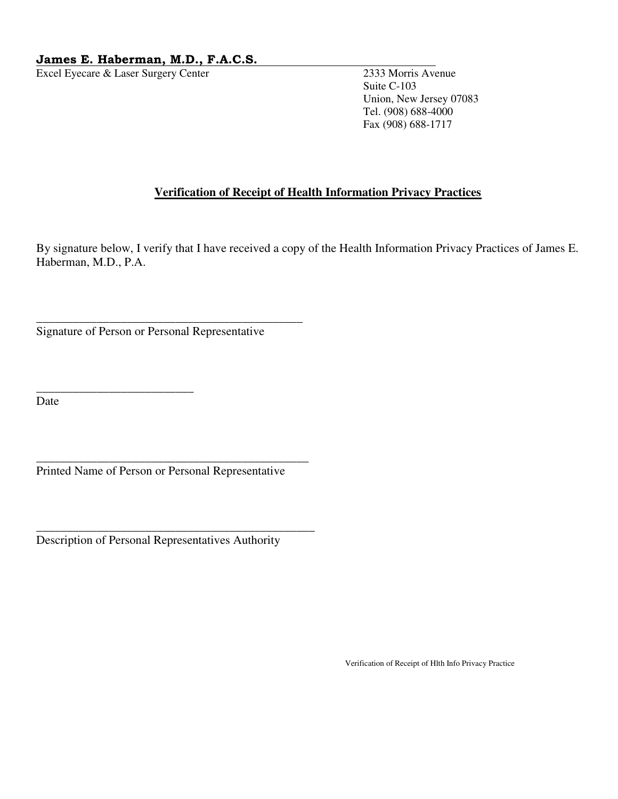### **James E. Haberman, M.D., F.A.C.S.**

Excel Eyecare & Laser Surgery Center 2333 Morris Avenue

 Suite C-103 Union, New Jersey 07083 Tel. (908) 688-4000 Fax (908) 688-1717

### **Verification of Receipt of Health Information Privacy Practices**

By signature below, I verify that I have received a copy of the Health Information Privacy Practices of James E. Haberman, M.D., P.A.

Signature of Person or Personal Representative

\_\_\_\_\_\_\_\_\_\_\_\_\_\_\_\_\_\_\_\_\_\_\_\_\_\_

\_\_\_\_\_\_\_\_\_\_\_\_\_\_\_\_\_\_\_\_\_\_\_\_\_\_\_\_\_\_\_\_\_\_\_\_\_\_\_\_\_\_\_\_

Date

Printed Name of Person or Personal Representative

\_\_\_\_\_\_\_\_\_\_\_\_\_\_\_\_\_\_\_\_\_\_\_\_\_\_\_\_\_\_\_\_\_\_\_\_\_\_\_\_\_\_\_\_\_

\_\_\_\_\_\_\_\_\_\_\_\_\_\_\_\_\_\_\_\_\_\_\_\_\_\_\_\_\_\_\_\_\_\_\_\_\_\_\_\_\_\_\_\_\_\_

Description of Personal Representatives Authority

Verification of Receipt of Hlth Info Privacy Practice